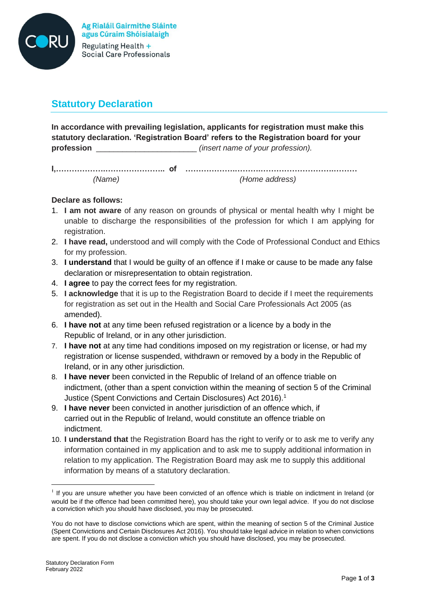

# **Statutory Declaration**

**In accordance with prevailing legislation, applicants for registration must make this statutory declaration. 'Registration Board' refers to the Registration board for your profession** *profession (insert name of your profession).* 

**I,……………….………………….. of ……………….……….……………………….………** *(Name) (Home address)*

### **Declare as follows:**

- 1. **I am not aware** of any reason on grounds of physical or mental health why I might be unable to discharge the responsibilities of the profession for which I am applying for registration.
- 2. **I have read,** understood and will comply with the Code of Professional Conduct and Ethics for my profession.
- 3. **I understand** that I would be guilty of an offence if I make or cause to be made any false declaration or misrepresentation to obtain registration.
- 4. **I agree** to pay the correct fees for my registration.
- 5. **I acknowledge** that it is up to the Registration Board to decide if I meet the requirements for registration as set out in the Health and Social Care Professionals Act 2005 (as amended).
- 6. **I have not** at any time been refused registration or a licence by a body in the Republic of Ireland, or in any other jurisdiction.
- 7. **I have not** at any time had conditions imposed on my registration or license, or had my registration or license suspended, withdrawn or removed by a body in the Republic of Ireland, or in any other jurisdiction.
- 8. **I have never** been convicted in the Republic of Ireland of an offence triable on indictment, (other than a spent conviction within the meaning of section 5 of the Criminal Justice (Spent Convictions and Certain Disclosures) Act 2016).<sup>1</sup>
- 9. **I have never** been convicted in another jurisdiction of an offence which, if carried out in the Republic of Ireland, would constitute an offence triable on indictment.
- 10. **I understand that** the Registration Board has the right to verify or to ask me to verify any information contained in my application and to ask me to supply additional information in relation to my application. The Registration Board may ask me to supply this additional information by means of a statutory declaration.

1

If you are unsure whether you have been convicted of an offence which is triable on indictment in Ireland (or would be if the offence had been committed here), you should take your own legal advice. If you do not disclose a conviction which you should have disclosed, you may be prosecuted.

You do not have to disclose convictions which are spent, within the meaning of section 5 of the Criminal Justice (Spent Convictions and Certain Disclosures Act 2016). You should take legal advice in relation to when convictions are spent. If you do not disclose a conviction which you should have disclosed, you may be prosecuted.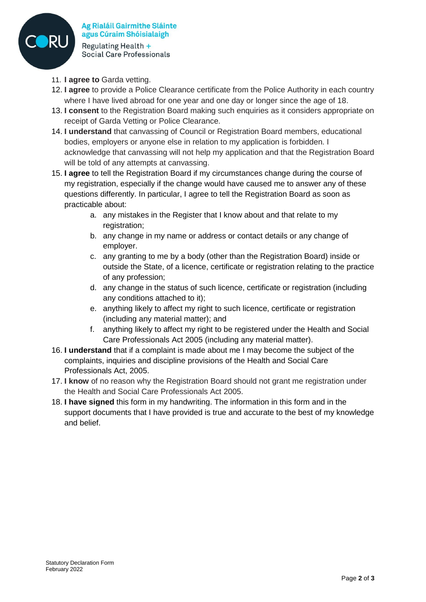

Ag Rialáil Gairmithe Sláinte agus Cúraim Shóisialaigh Regulating Health + **Social Care Professionals** 

- 11. **I agree to** Garda vetting.
- 12. **I agree** to provide a Police Clearance certificate from the Police Authority in each country where I have lived abroad for one year and one day or longer since the age of 18.
- 13. **I consent** to the Registration Board making such enquiries as it considers appropriate on receipt of Garda Vetting or Police Clearance.
- 14. **I understand** that canvassing of Council or Registration Board members, educational bodies, employers or anyone else in relation to my application is forbidden. I acknowledge that canvassing will not help my application and that the Registration Board will be told of any attempts at canvassing.
- 15. **I agree** to tell the Registration Board if my circumstances change during the course of my registration, especially if the change would have caused me to answer any of these questions differently. In particular, I agree to tell the Registration Board as soon as practicable about:
	- a. any mistakes in the Register that I know about and that relate to my registration:
	- b. any change in my name or address or contact details or any change of employer.
	- c. any granting to me by a body (other than the Registration Board) inside or outside the State, of a licence, certificate or registration relating to the practice of any profession;
	- d. any change in the status of such licence, certificate or registration (including any conditions attached to it);
	- e. anything likely to affect my right to such licence, certificate or registration (including any material matter); and
	- f. anything likely to affect my right to be registered under the Health and Social Care Professionals Act 2005 (including any material matter).
- 16. **I understand** that if a complaint is made about me I may become the subject of the complaints, inquiries and discipline provisions of the Health and Social Care Professionals Act, 2005.
- 17. **I know** of no reason why the Registration Board should not grant me registration under the Health and Social Care Professionals Act 2005.
- 18. **I have signed** this form in my handwriting. The information in this form and in the support documents that I have provided is true and accurate to the best of my knowledge and belief.